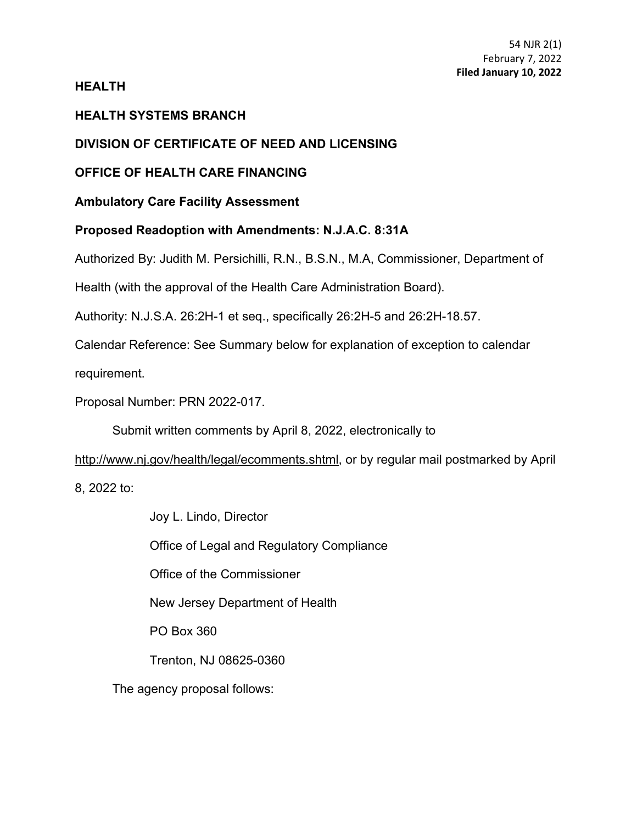## **HEALTH**

# **HEALTH SYSTEMS BRANCH**

# **DIVISION OF CERTIFICATE OF NEED AND LICENSING**

# **OFFICE OF HEALTH CARE FINANCING**

# **Ambulatory Care Facility Assessment**

## **Proposed Readoption with Amendments: N.J.A.C. 8:31A**

Authorized By: Judith M. Persichilli, R.N., B.S.N., M.A, Commissioner, Department of

Health (with the approval of the Health Care Administration Board).

Authority: N.J.S.A. 26:2H-1 et seq., specifically 26:2H-5 and 26:2H-18.57.

Calendar Reference: See Summary below for explanation of exception to calendar

requirement.

Proposal Number: PRN 2022-017.

Submit written comments by April 8, 2022, electronically to

http://www.nj.gov/health/legal/ecomments.shtml, or by regular mail postmarked by April

8, 2022 to:

Joy L. Lindo, Director Office of Legal and Regulatory Compliance Office of the Commissioner New Jersey Department of Health PO Box 360 Trenton, NJ 08625-0360 The agency proposal follows: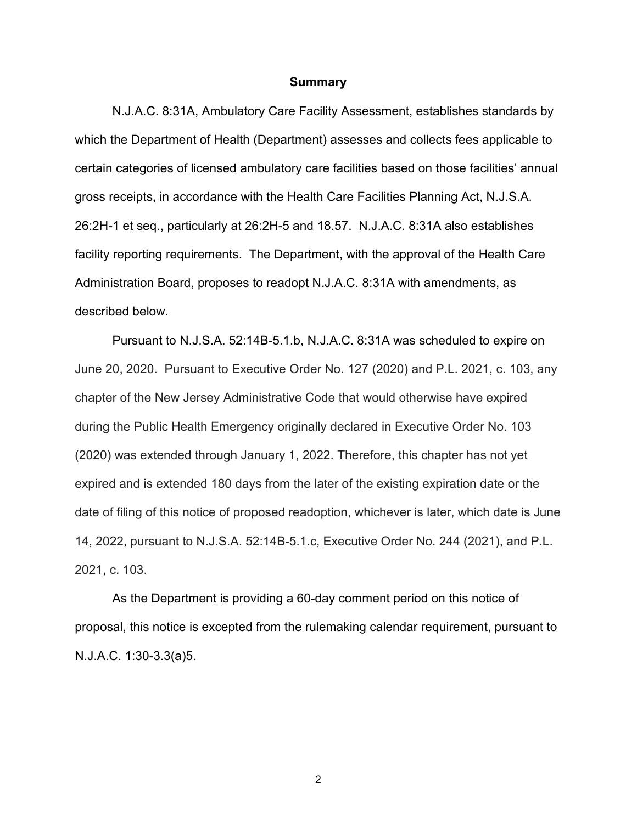#### **Summary**

N.J.A.C. 8:31A, Ambulatory Care Facility Assessment, establishes standards by which the Department of Health (Department) assesses and collects fees applicable to certain categories of licensed ambulatory care facilities based on those facilities' annual gross receipts, in accordance with the Health Care Facilities Planning Act, N.J.S.A. 26:2H-1 et seq., particularly at 26:2H-5 and 18.57. N.J.A.C. 8:31A also establishes facility reporting requirements. The Department, with the approval of the Health Care Administration Board, proposes to readopt N.J.A.C. 8:31A with amendments, as described below.

Pursuant to N.J.S.A. 52:14B-5.1.b, N.J.A.C. 8:31A was scheduled to expire on June 20, 2020. Pursuant to Executive Order No. 127 (2020) and P.L. 2021, c. 103, any chapter of the New Jersey Administrative Code that would otherwise have expired during the Public Health Emergency originally declared in Executive Order No. 103 (2020) was extended through January 1, 2022. Therefore, this chapter has not yet expired and is extended 180 days from the later of the existing expiration date or the date of filing of this notice of proposed readoption, whichever is later, which date is June 14, 2022, pursuant to N.J.S.A. 52:14B-5.1.c, Executive Order No. 244 (2021), and P.L. 2021, c. 103.

As the Department is providing a 60-day comment period on this notice of proposal, this notice is excepted from the rulemaking calendar requirement, pursuant to N.J.A.C. 1:30-3.3(a)5.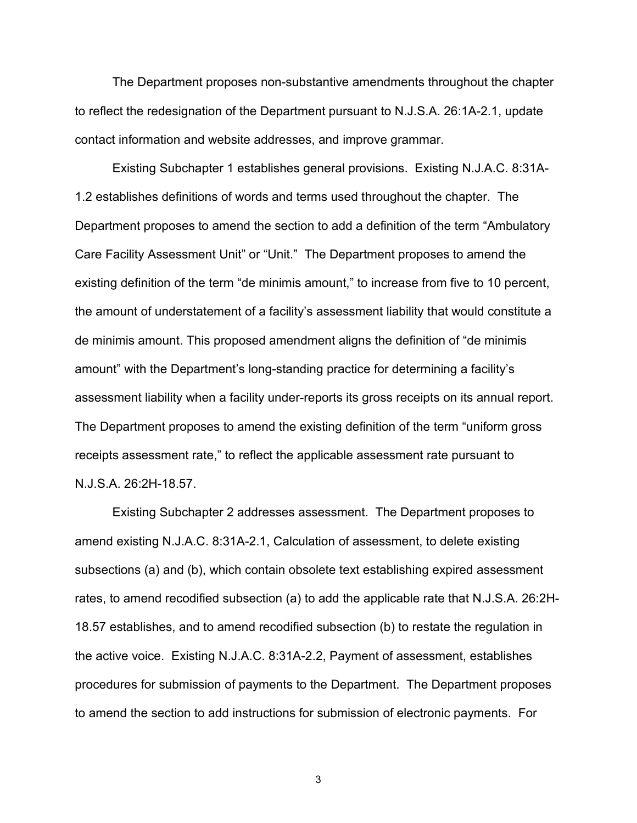The Department proposes non-substantive amendments throughout the chapter to reflect the redesignation of the Department pursuant to N.J.S.A. 26:1A-2.1, update contact information and website addresses, and improve grammar.

Existing Subchapter 1 establishes general provisions. Existing N.J.A.C. 8:31A-1.2 establishes definitions of words and terms used throughout the chapter. The Department proposes to amend the section to add a definition of the term "Ambulatory Care Facility Assessment Unit" or "Unit." The Department proposes to amend the existing definition of the term "de minimis amount," to increase from five to 10 percent, the amount of understatement of a facility's assessment liability that would constitute a de minimis amount. This proposed amendment aligns the definition of "de minimis amount" with the Department's long-standing practice for determining a facility's assessment liability when a facility under-reports its gross receipts on its annual report. The Department proposes to amend the existing definition of the term "uniform gross receipts assessment rate," to reflect the applicable assessment rate pursuant to N.J.S.A. 26:2H-18.57.

Existing Subchapter 2 addresses assessment. The Department proposes to amend existing N.J.A.C. 8:31A-2.1, Calculation of assessment, to delete existing subsections (a) and (b), which contain obsolete text establishing expired assessment rates, to amend recodified subsection (a) to add the applicable rate that N.J.S.A. 26:2H-18.57 establishes, and to amend recodified subsection (b) to restate the regulation in the active voice. Existing N.J.A.C. 8:31A-2.2, Payment of assessment, establishes procedures for submission of payments to the Department. The Department proposes to amend the section to add instructions for submission of electronic payments. For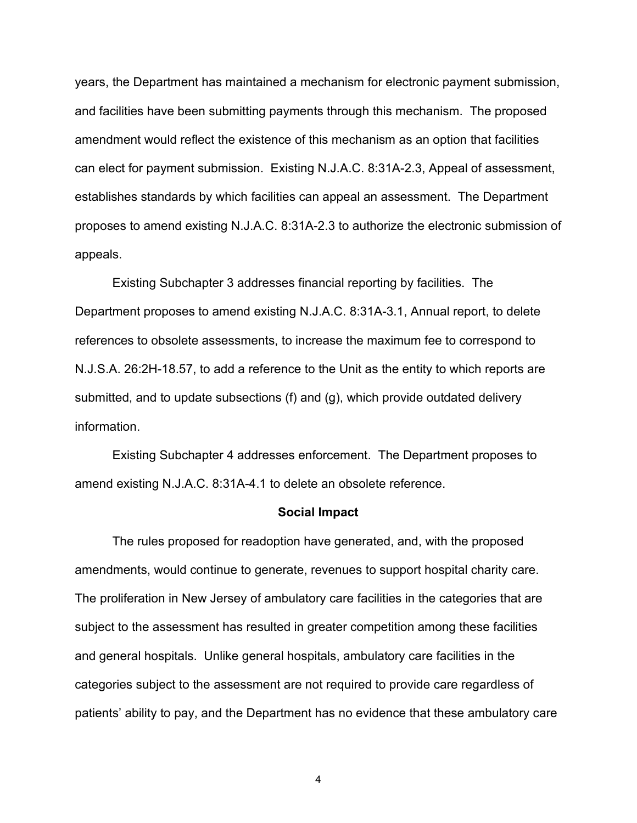years, the Department has maintained a mechanism for electronic payment submission, and facilities have been submitting payments through this mechanism. The proposed amendment would reflect the existence of this mechanism as an option that facilities can elect for payment submission. Existing N.J.A.C. 8:31A-2.3, Appeal of assessment, establishes standards by which facilities can appeal an assessment. The Department proposes to amend existing N.J.A.C. 8:31A-2.3 to authorize the electronic submission of appeals.

Existing Subchapter 3 addresses financial reporting by facilities. The Department proposes to amend existing N.J.A.C. 8:31A-3.1, Annual report, to delete references to obsolete assessments, to increase the maximum fee to correspond to N.J.S.A. 26:2H-18.57, to add a reference to the Unit as the entity to which reports are submitted, and to update subsections (f) and (g), which provide outdated delivery information.

Existing Subchapter 4 addresses enforcement. The Department proposes to amend existing N.J.A.C. 8:31A-4.1 to delete an obsolete reference.

#### **Social Impact**

The rules proposed for readoption have generated, and, with the proposed amendments, would continue to generate, revenues to support hospital charity care. The proliferation in New Jersey of ambulatory care facilities in the categories that are subject to the assessment has resulted in greater competition among these facilities and general hospitals. Unlike general hospitals, ambulatory care facilities in the categories subject to the assessment are not required to provide care regardless of patients' ability to pay, and the Department has no evidence that these ambulatory care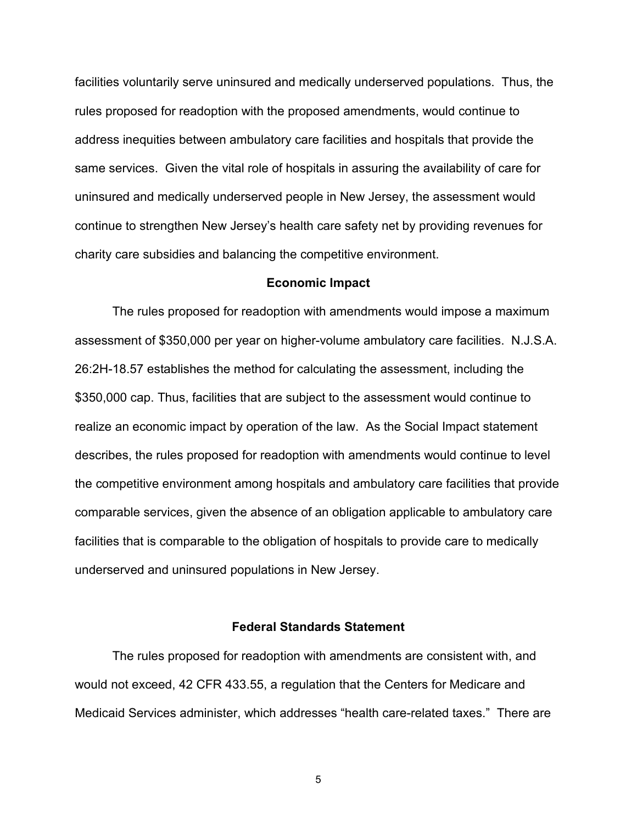facilities voluntarily serve uninsured and medically underserved populations. Thus, the rules proposed for readoption with the proposed amendments, would continue to address inequities between ambulatory care facilities and hospitals that provide the same services. Given the vital role of hospitals in assuring the availability of care for uninsured and medically underserved people in New Jersey, the assessment would continue to strengthen New Jersey's health care safety net by providing revenues for charity care subsidies and balancing the competitive environment.

#### **Economic Impact**

The rules proposed for readoption with amendments would impose a maximum assessment of \$350,000 per year on higher-volume ambulatory care facilities. N.J.S.A. 26:2H-18.57 establishes the method for calculating the assessment, including the \$350,000 cap. Thus, facilities that are subject to the assessment would continue to realize an economic impact by operation of the law. As the Social Impact statement describes, the rules proposed for readoption with amendments would continue to level the competitive environment among hospitals and ambulatory care facilities that provide comparable services, given the absence of an obligation applicable to ambulatory care facilities that is comparable to the obligation of hospitals to provide care to medically underserved and uninsured populations in New Jersey.

#### **Federal Standards Statement**

The rules proposed for readoption with amendments are consistent with, and would not exceed, 42 CFR 433.55, a regulation that the Centers for Medicare and Medicaid Services administer, which addresses "health care-related taxes." There are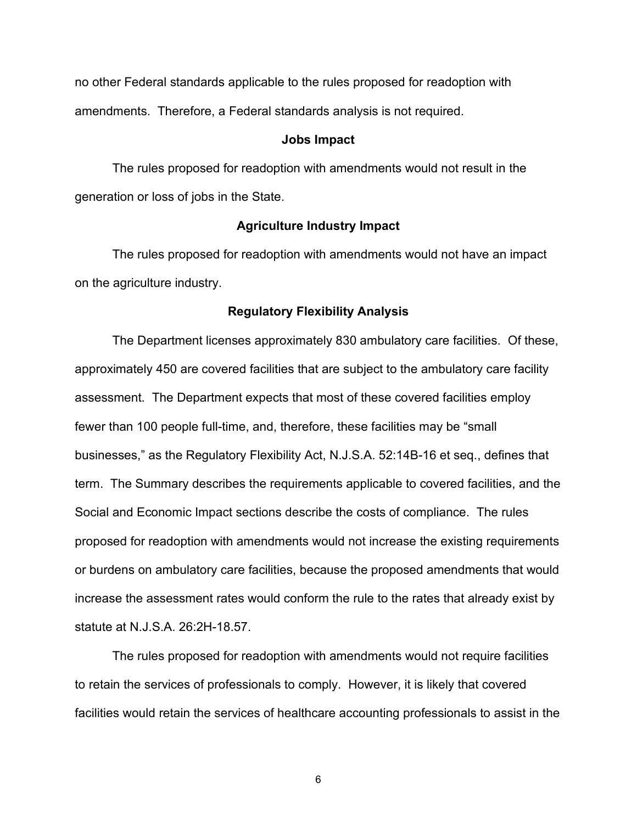no other Federal standards applicable to the rules proposed for readoption with amendments. Therefore, a Federal standards analysis is not required.

#### **Jobs Impact**

The rules proposed for readoption with amendments would not result in the generation or loss of jobs in the State.

### **Agriculture Industry Impact**

The rules proposed for readoption with amendments would not have an impact on the agriculture industry.

#### **Regulatory Flexibility Analysis**

The Department licenses approximately 830 ambulatory care facilities. Of these, approximately 450 are covered facilities that are subject to the ambulatory care facility assessment. The Department expects that most of these covered facilities employ fewer than 100 people full-time, and, therefore, these facilities may be "small businesses," as the Regulatory Flexibility Act, N.J.S.A. 52:14B-16 et seq., defines that term. The Summary describes the requirements applicable to covered facilities, and the Social and Economic Impact sections describe the costs of compliance. The rules proposed for readoption with amendments would not increase the existing requirements or burdens on ambulatory care facilities, because the proposed amendments that would increase the assessment rates would conform the rule to the rates that already exist by statute at N.J.S.A. 26:2H-18.57.

The rules proposed for readoption with amendments would not require facilities to retain the services of professionals to comply. However, it is likely that covered facilities would retain the services of healthcare accounting professionals to assist in the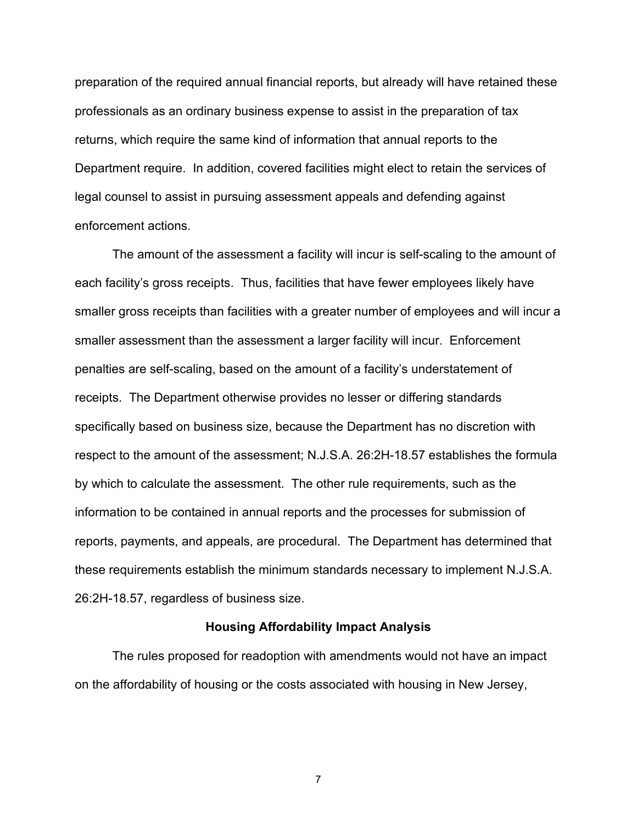preparation of the required annual financial reports, but already will have retained these professionals as an ordinary business expense to assist in the preparation of tax returns, which require the same kind of information that annual reports to the Department require. In addition, covered facilities might elect to retain the services of legal counsel to assist in pursuing assessment appeals and defending against enforcement actions.

The amount of the assessment a facility will incur is self-scaling to the amount of each facility's gross receipts. Thus, facilities that have fewer employees likely have smaller gross receipts than facilities with a greater number of employees and will incur a smaller assessment than the assessment a larger facility will incur. Enforcement penalties are self-scaling, based on the amount of a facility's understatement of receipts. The Department otherwise provides no lesser or differing standards specifically based on business size, because the Department has no discretion with respect to the amount of the assessment; N.J.S.A. 26:2H-18.57 establishes the formula by which to calculate the assessment. The other rule requirements, such as the information to be contained in annual reports and the processes for submission of reports, payments, and appeals, are procedural. The Department has determined that these requirements establish the minimum standards necessary to implement N.J.S.A. 26:2H-18.57, regardless of business size.

### **Housing Affordability Impact Analysis**

The rules proposed for readoption with amendments would not have an impact on the affordability of housing or the costs associated with housing in New Jersey,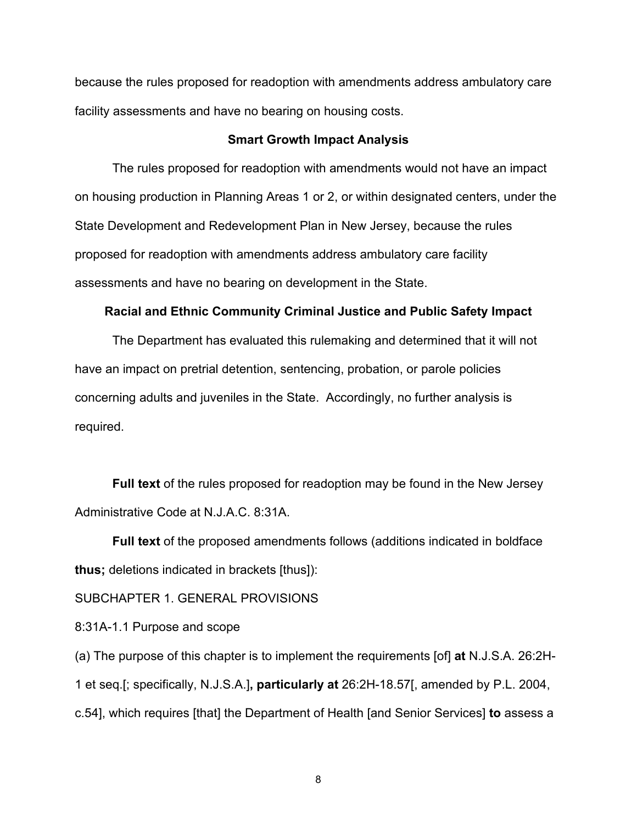because the rules proposed for readoption with amendments address ambulatory care facility assessments and have no bearing on housing costs.

### **Smart Growth Impact Analysis**

The rules proposed for readoption with amendments would not have an impact on housing production in Planning Areas 1 or 2, or within designated centers, under the State Development and Redevelopment Plan in New Jersey, because the rules proposed for readoption with amendments address ambulatory care facility assessments and have no bearing on development in the State.

#### **Racial and Ethnic Community Criminal Justice and Public Safety Impact**

The Department has evaluated this rulemaking and determined that it will not have an impact on pretrial detention, sentencing, probation, or parole policies concerning adults and juveniles in the State. Accordingly, no further analysis is required.

**Full text** of the rules proposed for readoption may be found in the New Jersey Administrative Code at N.J.A.C. 8:31A.

**Full text** of the proposed amendments follows (additions indicated in boldface **thus;** deletions indicated in brackets [thus]):

SUBCHAPTER 1. GENERAL PROVISIONS

8:31A-1.1 Purpose and scope

(a) The purpose of this chapter is to implement the requirements [of] **at** N.J.S.A. 26:2H-1 et seq.[; specifically, N.J.S.A.]**, particularly at** 26:2H-18.57[, amended by P.L. 2004, c.54], which requires [that] the Department of Health [and Senior Services] **to** assess a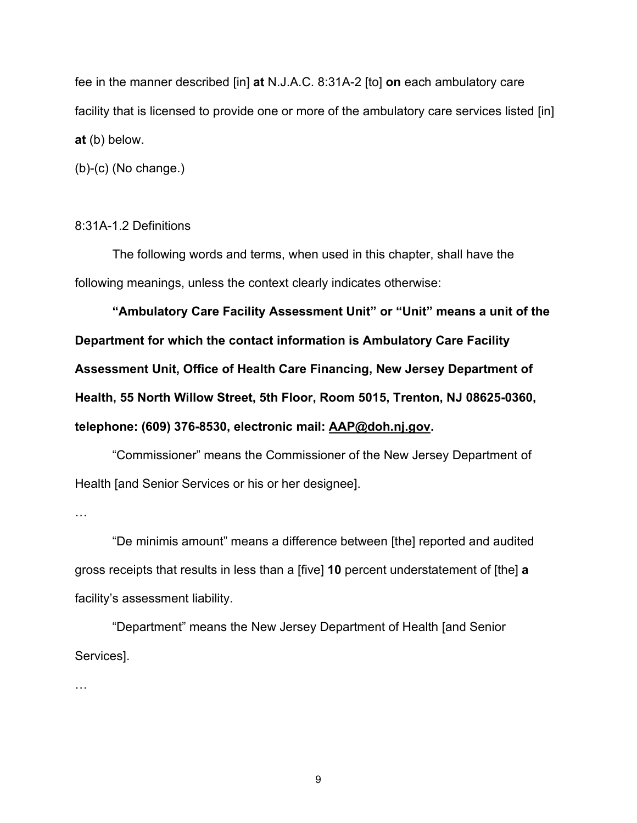fee in the manner described [in] **at** N.J.A.C. 8:31A-2 [to] **on** each ambulatory care facility that is licensed to provide one or more of the ambulatory care services listed [in] **at** (b) below.

(b)-(c) (No change.)

### 8:31A-1.2 Definitions

The following words and terms, when used in this chapter, shall have the following meanings, unless the context clearly indicates otherwise:

**"Ambulatory Care Facility Assessment Unit" or "Unit" means a unit of the Department for which the contact information is Ambulatory Care Facility Assessment Unit, Office of Health Care Financing, New Jersey Department of Health, 55 North Willow Street, 5th Floor, Room 5015, Trenton, NJ 08625-0360, telephone: (609) 376-8530, electronic mail: AAP@doh.nj.gov.**

"Commissioner" means the Commissioner of the New Jersey Department of Health [and Senior Services or his or her designee].

…

"De minimis amount" means a difference between [the] reported and audited gross receipts that results in less than a [five] **10** percent understatement of [the] **a** facility's assessment liability.

"Department" means the New Jersey Department of Health [and Senior Services].

…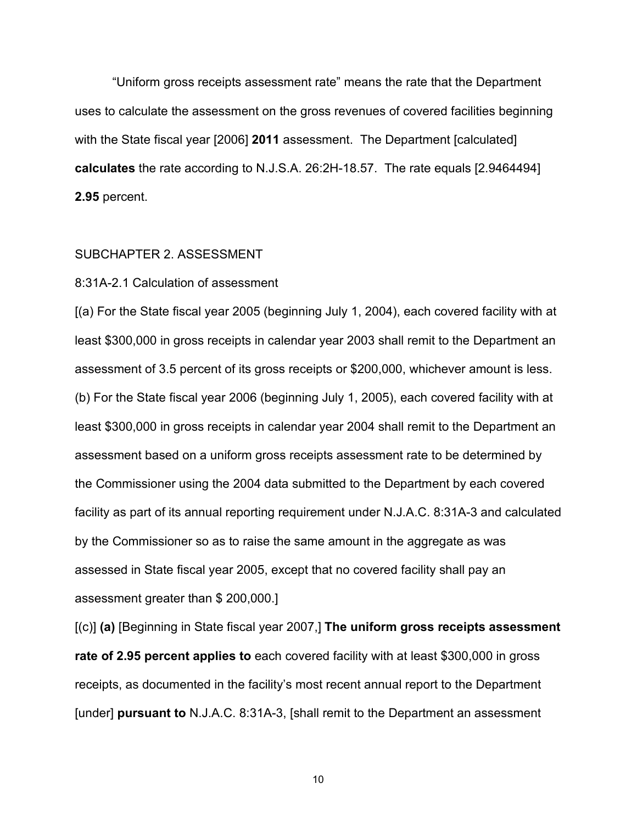"Uniform gross receipts assessment rate" means the rate that the Department uses to calculate the assessment on the gross revenues of covered facilities beginning with the State fiscal year [2006] **2011** assessment. The Department [calculated] **calculates** the rate according to N.J.S.A. 26:2H-18.57. The rate equals [2.9464494] **2.95** percent.

### SUBCHAPTER 2. ASSESSMENT

#### 8:31A-2.1 Calculation of assessment

[(a) For the State fiscal year 2005 (beginning July 1, 2004), each covered facility with at least \$300,000 in gross receipts in calendar year 2003 shall remit to the Department an assessment of 3.5 percent of its gross receipts or \$200,000, whichever amount is less. (b) For the State fiscal year 2006 (beginning July 1, 2005), each covered facility with at least \$300,000 in gross receipts in calendar year 2004 shall remit to the Department an assessment based on a uniform gross receipts assessment rate to be determined by the Commissioner using the 2004 data submitted to the Department by each covered facility as part of its annual reporting requirement under N.J.A.C. 8:31A-3 and calculated by the Commissioner so as to raise the same amount in the aggregate as was assessed in State fiscal year 2005, except that no covered facility shall pay an assessment greater than \$ 200,000.]

[(c)] **(a)** [Beginning in State fiscal year 2007,] **The uniform gross receipts assessment rate of 2.95 percent applies to** each covered facility with at least \$300,000 in gross receipts, as documented in the facility's most recent annual report to the Department [under] **pursuant to** N.J.A.C. 8:31A-3, [shall remit to the Department an assessment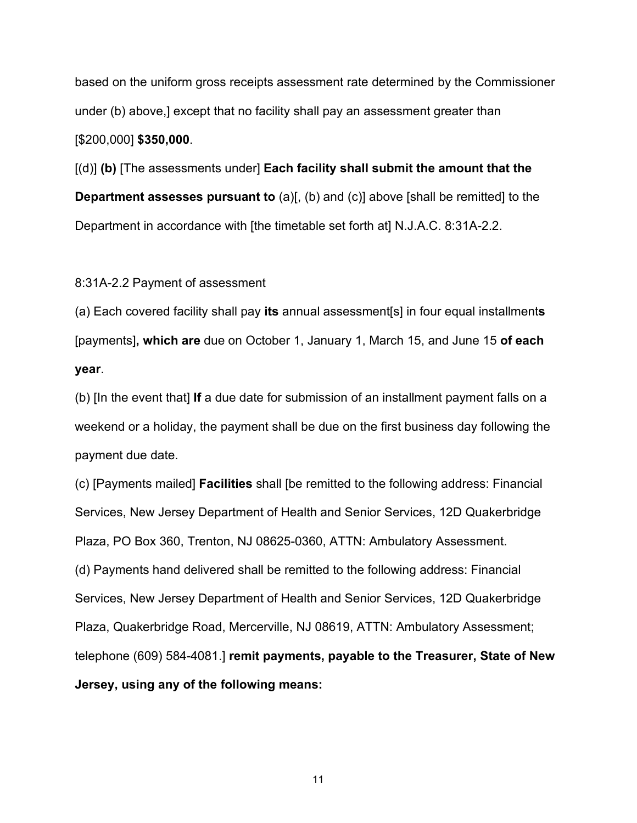based on the uniform gross receipts assessment rate determined by the Commissioner under (b) above,] except that no facility shall pay an assessment greater than [\$200,000] **\$350,000**.

[(d)] **(b)** [The assessments under] **Each facility shall submit the amount that the Department assesses pursuant to** (a)[, (b) and (c)] above [shall be remitted] to the Department in accordance with [the timetable set forth at] N.J.A.C. 8:31A-2.2.

8:31A-2.2 Payment of assessment

(a) Each covered facility shall pay **its** annual assessment[s] in four equal installment**s** [payments]**, which are** due on October 1, January 1, March 15, and June 15 **of each year**.

(b) [In the event that] **If** a due date for submission of an installment payment falls on a weekend or a holiday, the payment shall be due on the first business day following the payment due date.

(c) [Payments mailed] **Facilities** shall [be remitted to the following address: Financial Services, New Jersey Department of Health and Senior Services, 12D Quakerbridge Plaza, PO Box 360, Trenton, NJ 08625-0360, ATTN: Ambulatory Assessment. (d) Payments hand delivered shall be remitted to the following address: Financial Services, New Jersey Department of Health and Senior Services, 12D Quakerbridge Plaza, Quakerbridge Road, Mercerville, NJ 08619, ATTN: Ambulatory Assessment; telephone (609) 584-4081.] **remit payments, payable to the Treasurer, State of New Jersey, using any of the following means:**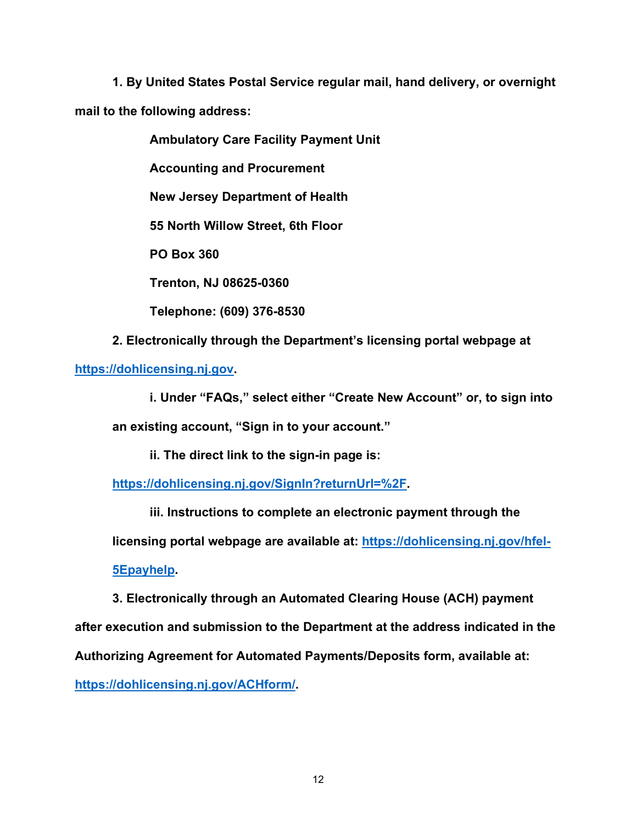**1. By United States Postal Service regular mail, hand delivery, or overnight mail to the following address:**

**Ambulatory Care Facility Payment Unit**

**Accounting and Procurement**

**New Jersey Department of Health**

**55 North Willow Street, 6th Floor**

**PO Box 360**

**Trenton, NJ 08625-0360**

**Telephone: (609) 376-8530**

**2. Electronically through the Department's licensing portal webpage at**

**[https://dohlicensing.nj.gov.](https://dohlicensing.nj.gov/)**

**i. Under "FAQs," select either "Create New Account" or, to sign into**

**an existing account, "Sign in to your account."**

**ii. The direct link to the sign-in page is:** 

**[https://dohlicensing.nj.gov/SignIn?returnUrl=%2F.](https://dohlicensing.nj.gov/SignIn?returnUrl=%2F)**

**iii. Instructions to complete an electronic payment through the** 

**licensing portal webpage are available at: [https://dohlicensing.nj.gov/hfel-](https://dohlicensing.nj.gov/hfel-5Epayhelp/)**

**[5Epayhelp.](https://dohlicensing.nj.gov/hfel-5Epayhelp/)**

**3. Electronically through an Automated Clearing House (ACH) payment** 

**after execution and submission to the Department at the address indicated in the**

**Authorizing Agreement for Automated Payments/Deposits form, available at:**

**https://dohlicensing.nj.gov/ACHform/.**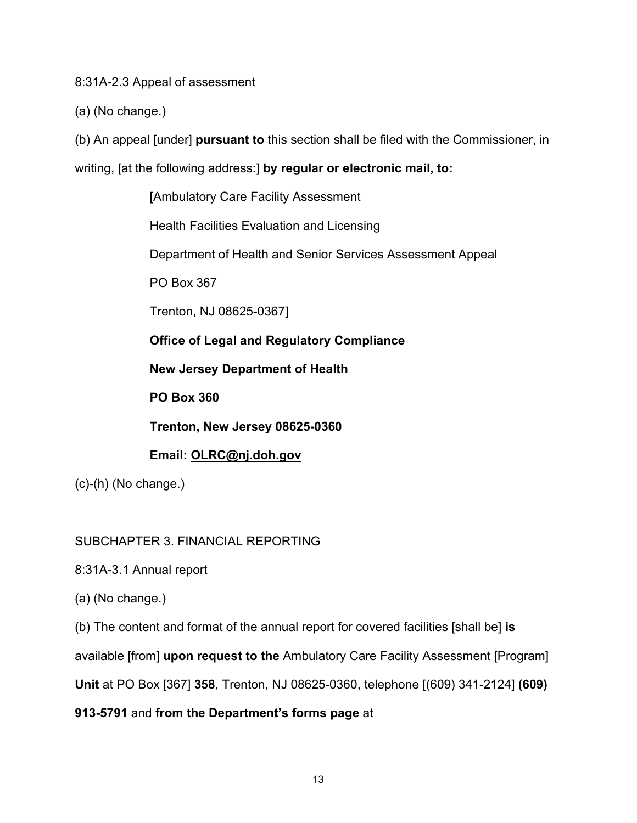8:31A-2.3 Appeal of assessment

(a) (No change.)

(b) An appeal [under] **pursuant to** this section shall be filed with the Commissioner, in

writing, [at the following address:] **by regular or electronic mail, to:**

[Ambulatory Care Facility Assessment

Health Facilities Evaluation and Licensing

Department of Health and Senior Services Assessment Appeal

PO Box 367

Trenton, NJ 08625-0367]

**Office of Legal and Regulatory Compliance**

**New Jersey Department of Health**

**PO Box 360**

**Trenton, New Jersey 08625-0360**

**Email: OLRC@nj.doh.gov**

(c)-(h) (No change.)

SUBCHAPTER 3. FINANCIAL REPORTING

8:31A-3.1 Annual report

(a) (No change.)

(b) The content and format of the annual report for covered facilities [shall be] **is**

available [from] **upon request to the** Ambulatory Care Facility Assessment [Program]

**Unit** at PO Box [367] **358**, Trenton, NJ 08625-0360, telephone [(609) 341-2124] **(609)** 

**913-5791** and **from the Department's forms page** at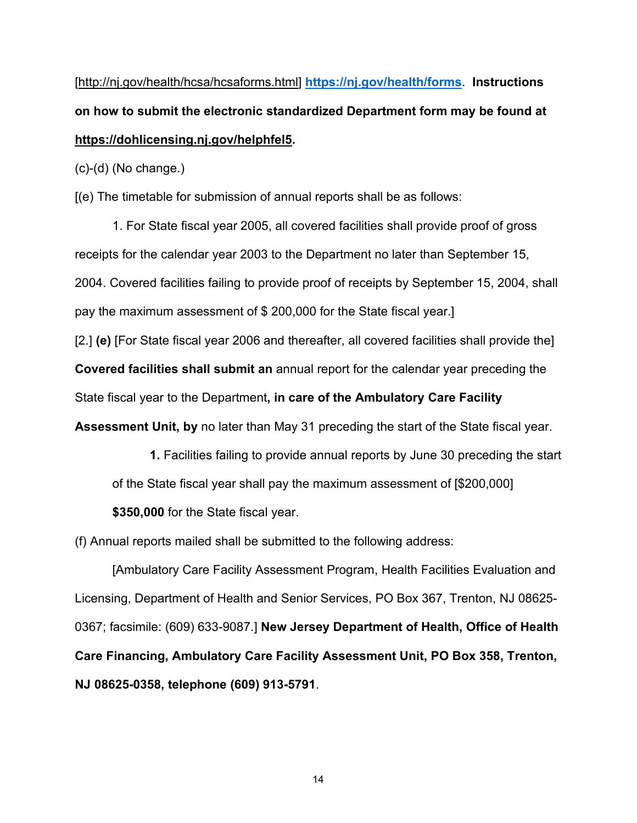[http://nj.gov/health/hcsa/hcsaforms.html] **<https://nj.gov/health/forms>**. **Instructions on how to submit the electronic standardized Department form may be found at https://dohlicensing.nj.gov/helphfel5.**

(c)-(d) (No change.)

[(e) The timetable for submission of annual reports shall be as follows:

1. For State fiscal year 2005, all covered facilities shall provide proof of gross receipts for the calendar year 2003 to the Department no later than September 15, 2004. Covered facilities failing to provide proof of receipts by September 15, 2004, shall pay the maximum assessment of \$ 200,000 for the State fiscal year.]

[2.] **(e)** [For State fiscal year 2006 and thereafter, all covered facilities shall provide the]

**Covered facilities shall submit an** annual report for the calendar year preceding the

State fiscal year to the Department**, in care of the Ambulatory Care Facility** 

**Assessment Unit, by** no later than May 31 preceding the start of the State fiscal year.

**1.** Facilities failing to provide annual reports by June 30 preceding the start of the State fiscal year shall pay the maximum assessment of [\$200,000]

**\$350,000** for the State fiscal year.

(f) Annual reports mailed shall be submitted to the following address:

[Ambulatory Care Facility Assessment Program, Health Facilities Evaluation and Licensing, Department of Health and Senior Services, PO Box 367, Trenton, NJ 08625- 0367; facsimile: (609) 633-9087.] **New Jersey Department of Health, Office of Health Care Financing, Ambulatory Care Facility Assessment Unit, PO Box 358, Trenton, NJ 08625-0358, telephone (609) 913-5791**.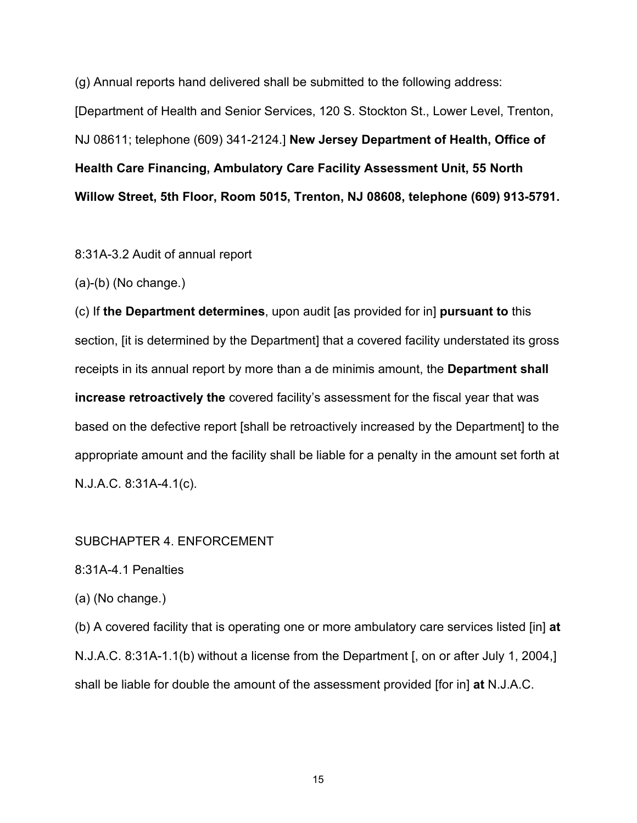(g) Annual reports hand delivered shall be submitted to the following address: [Department of Health and Senior Services, 120 S. Stockton St., Lower Level, Trenton, NJ 08611; telephone (609) 341-2124.] **New Jersey Department of Health, Office of Health Care Financing, Ambulatory Care Facility Assessment Unit, 55 North Willow Street, 5th Floor, Room 5015, Trenton, NJ 08608, telephone (609) 913-5791.**

8:31A-3.2 Audit of annual report

(a)-(b) (No change.)

(c) If **the Department determines**, upon audit [as provided for in] **pursuant to** this section, *fit is determined by the Department* that a covered facility understated its gross receipts in its annual report by more than a de minimis amount, the **Department shall increase retroactively the** covered facility's assessment for the fiscal year that was based on the defective report [shall be retroactively increased by the Department] to the appropriate amount and the facility shall be liable for a penalty in the amount set forth at N.J.A.C. 8:31A-4.1(c).

### SUBCHAPTER 4. ENFORCEMENT

8:31A-4.1 Penalties

(a) (No change.)

(b) A covered facility that is operating one or more ambulatory care services listed [in] **at** N.J.A.C. 8:31A-1.1(b) without a license from the Department [, on or after July 1, 2004,] shall be liable for double the amount of the assessment provided [for in] **at** N.J.A.C.